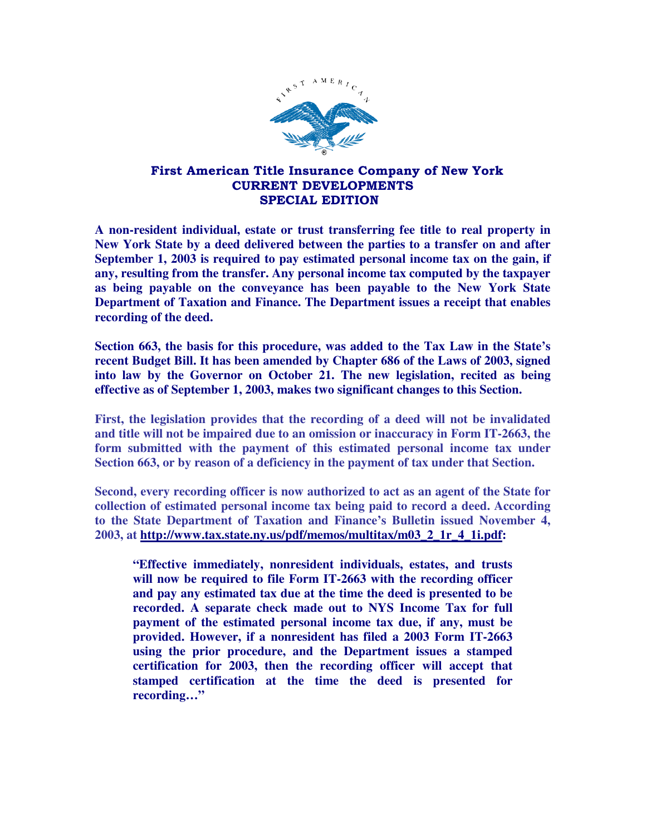

## First American Title Insurance Company of New York CURRENT DEVELOPMENTS SPECIAL EDITION

**A non-resident individual, estate or trust transferring fee title to real property in New York State by a deed delivered between the parties to a transfer on and after September 1, 2003 is required to pay estimated personal income tax on the gain, if any, resulting from the transfer. Any personal income tax computed by the taxpayer as being payable on the conveyance has been payable to the New York State Department of Taxation and Finance. The Department issues a receipt that enables recording of the deed.** 

**Section 663, the basis for this procedure, was added to the Tax Law in the State's recent Budget Bill. It has been amended by Chapter 686 of the Laws of 2003, signed into law by the Governor on October 21. The new legislation, recited as being effective as of September 1, 2003, makes two significant changes to this Section.** 

**First, the legislation provides that the recording of a deed will not be invalidated and title will not be impaired due to an omission or inaccuracy in Form IT-2663, the form submitted with the payment of this estimated personal income tax under Section 663, or by reason of a deficiency in the payment of tax under that Section.** 

**Second, every recording officer is now authorized to act as an agent of the State for collection of estimated personal income tax being paid to record a deed. According to the State Department of Taxation and Finance's Bulletin issued November 4, 2003, at http://www.tax.state.ny.us/pdf/memos/multitax/m03\_2\_1r\_4\_1i.pdf:** 

**"Effective immediately, nonresident individuals, estates, and trusts will now be required to file Form IT-2663 with the recording officer and pay any estimated tax due at the time the deed is presented to be recorded. A separate check made out to NYS Income Tax for full payment of the estimated personal income tax due, if any, must be provided. However, if a nonresident has filed a 2003 Form IT-2663 using the prior procedure, and the Department issues a stamped certification for 2003, then the recording officer will accept that stamped certification at the time the deed is presented for recording…"**